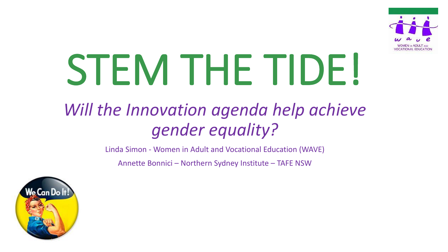

# STEM THE TIDE!

# *Will the Innovation agenda help achieve gender equality?*

Linda Simon - Women in Adult and Vocational Education (WAVE)

Annette Bonnici – Northern Sydney Institute – TAFE NSW

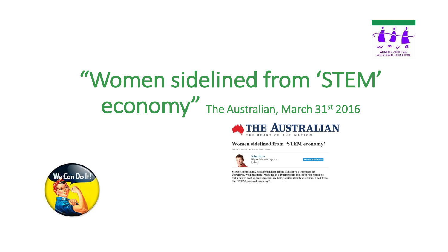

# "Women sidelined from 'STEM' economy" The Australian, March 31st 2016



#### Women sidelined from 'STEM economy'

THE AUSTRALIAN | MARCH 31, 2016 12:05AM



Science, technology, engineering and maths skills have permeated the workforce, with graduates working in anything from mining to wine making, but a new report suggests women are being systematically disenfranchised from the "STEM-powered economy".

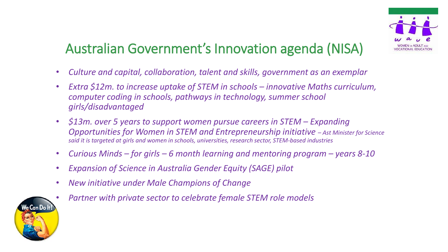

## Australian Government's Innovation agenda (NISA)

- *Culture and capital, collaboration, talent and skills, government as an exemplar*
- *Extra \$12m. to increase uptake of STEM in schools innovative Maths curriculum, computer coding in schools, pathways in technology, summer school girls/disadvantaged*
- *\$13m. over 5 years to support women pursue careers in STEM Expanding Opportunities for Women in STEM and Entrepreneurship initiative – Ast Minister for Science said it is targeted at girls and women in schools, universities, research sector, STEM-based industries*
- *Curious Minds – for girls – 6 month learning and mentoring program – years 8-10*
- *Expansion of Science in Australia Gender Equity (SAGE) pilot*
- *New initiative under Male Champions of Change*



• *Partner with private sector to celebrate female STEM role models*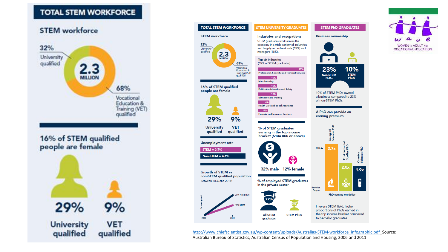#### **TOTAL STEM WORKFORCE**

#### **STEM** workforce





[http://www.chiefscientist.gov.au/wp-content/uploads/Australias-STEM-workforce\\_infographic.pdf](http://www.chiefscientist.gov.au/wp-content/uploads/Australias-STEM-workforce_infographic.pdf)\_Source: Australian Bureau of Statistics, Australian Census of Population and Housing, 2006 and 2011

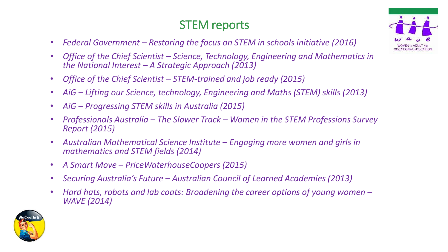#### STEM reports

- *Federal Government – Restoring the focus on STEM in schools initiative (2016)*
- *Office of the Chief Scientist – Science, Technology, Engineering and Mathematics in the National Interest – A Strategic Approach (2013)*
- *Office of the Chief Scientist – STEM-trained and job ready (2015)*
- *AiG – Lifting our Science, technology, Engineering and Maths (STEM) skills (2013)*
- *AiG – Progressing STEM skills in Australia (2015)*
- *Professionals Australia – The Slower Track – Women in the STEM Professions Survey Report (2015)*
- *Australian Mathematical Science Institute – Engaging more women and girls in mathematics and STEM fields (2014)*
- *A Smart Move – PriceWaterhouseCoopers (2015)*
- *Securing Australia's Future – Australian Council of Learned Academies (2013)*
- *Hard hats, robots and lab coats: Broadening the career options of young women – WAVE (2014)*



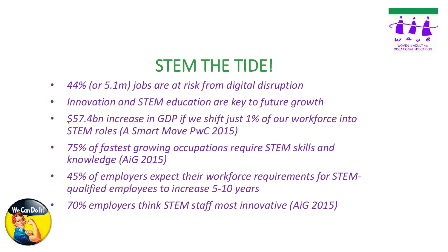

# STEM THE TIDE!

- *44% (or 5.1m) jobs are at risk from digital disruption*
- *Innovation and STEM education are key to future growth*
- *\$57.4bn increase in GDP if we shift just 1% of our workforce into STEM roles (A Smart Move PwC 2015)*
- *75% of fastest growing occupations require STEM skills and knowledge (AiG 2015)*
- *45% of employers expect their workforce requirements for STEMqualified employees to increase 5-10 years*



• *70% employers think STEM staff most innovative (AiG 2015)*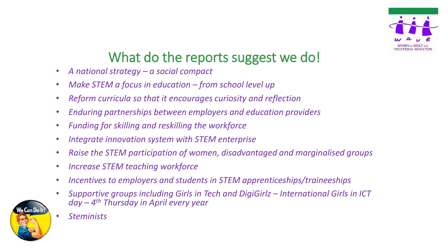

## What do the reports suggest we do!

- *A national strategy – a social compact*
- *Make STEM a focus in education – from school level up*
- *Reform curricula so that it encourages curiosity and reflection*
- *Enduring partnerships between employers and education providers*
- *Funding for skilling and reskilling the workforce*
- *Integrate innovation system with STEM enterprise*
- *Raise the STEM participation of women, disadvantaged and marginalised groups*
- *Increase STEM teaching workforce*
- *Incentives to employers and students in STEM apprenticeships/traineeships*
- *Supportive groups including Girls in Tech and DigiGirlz – International Girls in ICT day – 4 th Thursday in April every year*



• *Steminists*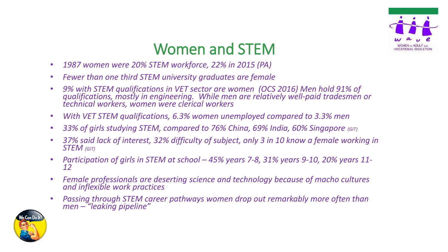

## Women and STEM

- *1987 women were 20% STEM workforce, 22% in 2015 (PA)*
- *Fewer than one third STEM university graduates are female*
- *9% with STEM qualifications in VET sector are women (OCS 2016) Men hold 91% of qualifications, mostly in engineering. While men are relatively well-paid tradesmen or technical workers, women were clerical workers*
- *With VET STEM qualifications, 6.3% women unemployed compared to 3.3% men*
- 33% of girls studying STEM, compared to 76% China, 69% India, 60% Singapore (GiT)
- *37% said lack of interest, 32% difficulty of subject, only 3 in 10 know a female working in STEM (GiT)*
- Participation of girls in STEM at school 45% years 7-8, 31% years 9-10, 20% years 11-*12*
- *Female professionals are deserting science and technology because of macho cultures and inflexible work practices*
- *Passing through STEM career pathways women drop out remarkably more often than men – "leaking pipeline"*

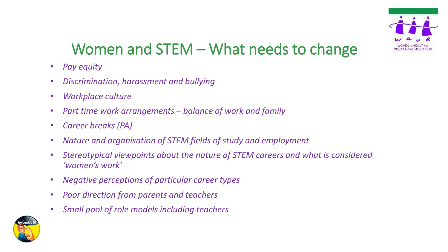

## Women and STEM – What needs to change

- *Pay equity*
- *Discrimination, harassment and bullying*
- *Workplace culture*
- *Part time work arrangements – balance of work and family*
- *Career breaks (PA)*
- *Nature and organisation of STEM fields of study and employment*
- *Stereotypical viewpoints about the nature of STEM careers and what is considered 'women's work'*
- *Negative perceptions of particular career types*
- *Poor direction from parents and teachers*
- *Small pool of role models including teachers*

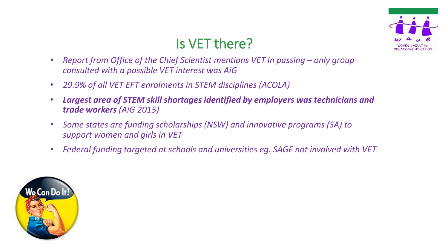

### Is VET there?

- *Report from Office of the Chief Scientist mentions VET in passing only group consulted with a possible VET interest was AiG*
- *29.9% of all VET EFT enrolments in STEM disciplines (ACOLA)*
- *Largest area of STEM skill shortages identified by employers was technicians and trade workers (AiG 2015)*
- *Some states are funding scholarships (NSW) and innovative programs (SA) to support women and girls in VET*
- *Federal funding targeted at schools and universities eg. SAGE not involved with VET*

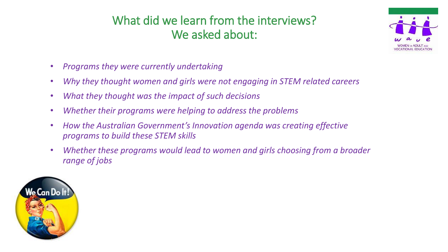#### What did we learn from the interviews? We asked about:



- *Programs they were currently undertaking*
- *Why they thought women and girls were not engaging in STEM related careers*
- *What they thought was the impact of such decisions*
- *Whether their programs were helping to address the problems*
- *How the Australian Government's Innovation agenda was creating effective programs to build these STEM skills*
- *Whether these programs would lead to women and girls choosing from a broader range of jobs*

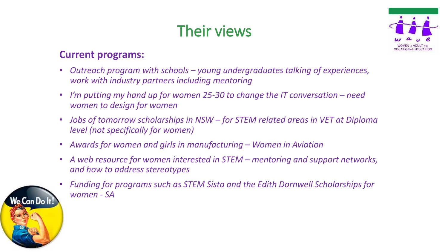# Their views



#### **Current programs:**

- *Outreach program with schools – young undergraduates talking of experiences, work with industry partners including mentoring*
- *I'm putting my hand up for women 25-30 to change the IT conversation – need women to design for women*
- *Jobs of tomorrow scholarships in NSW – for STEM related areas in VET at Diploma level (not specifically for women)*
- *Awards for women and girls in manufacturing – Women in Aviation*
- *A web resource for women interested in STEM – mentoring and support networks, and how to address stereotypes*
- *Funding for programs such as STEM Sista and the Edith Dornwell Scholarships for women - SA*

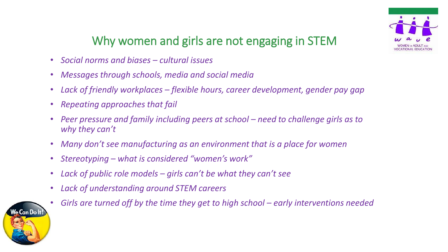

#### Why women and girls are not engaging in STEM

- *Social norms and biases – cultural issues*
- *Messages through schools, media and social media*
- *Lack of friendly workplaces – flexible hours, career development, gender pay gap*
- *Repeating approaches that fail*
- *Peer pressure and family including peers at school – need to challenge girls as to why they can't*
- *Many don't see manufacturing as an environment that is a place for women*
- *Stereotyping – what is considered "women's work"*
- *Lack of public role models – girls can't be what they can't see*
- *Lack of understanding around STEM careers*



6 *Girls are turned off by the time they get to high school – early interventions needed*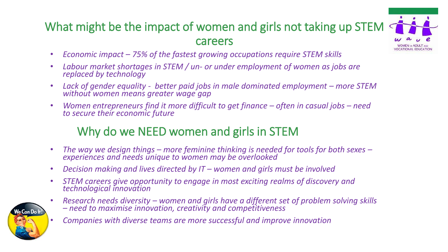#### What might be the impact of women and girls not taking up STEM careers



- *Economic impact – 75% of the fastest growing occupations require STEM skills*
- *Labour market shortages in STEM / un- or under employment of women as jobs are replaced by technology*
- Lack of gender equality better paid jobs in male dominated employment more STEM *without women means greater wage gap*
- *Women entrepreneurs find it more difficult to get finance often in casual jobs need to secure their economic future*

#### Why do we NEED women and girls in STEM

- *The way we design things – more feminine thinking is needed for tools for both sexes – experiences and needs unique to women may be overlooked*
- *Decision making and lives directed by IT – women and girls must be involved*
- *STEM careers give opportunity to engage in most exciting realms of discovery and technological innovation*



- *Research needs diversity – women and girls have a different set of problem solving skills – need to maximise innovation, creativity and competitiveness*
	- *Companies with diverse teams are more successful and improve innovation*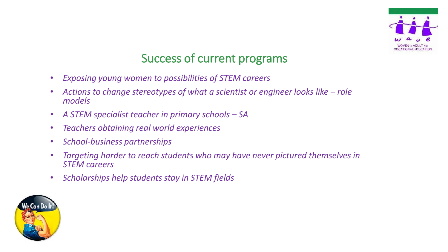

#### Success of current programs

- *Exposing young women to possibilities of STEM careers*
- Actions to change stereotypes of what a scientist or engineer looks like role *models*
- *A STEM specialist teacher in primary schools – SA*
- *Teachers obtaining real world experiences*
- *School-business partnerships*
- *Targeting harder to reach students who may have never pictured themselves in STEM careers*
- *Scholarships help students stay in STEM fields*

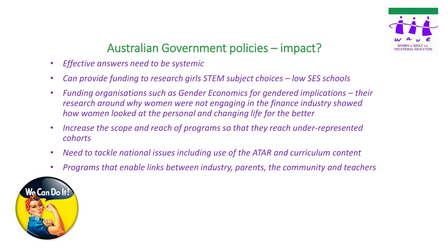

#### Australian Government policies – impact?

- *Effective answers need to be systemic*
- Can provide funding to research girls STEM subject choices low SES schools
- Funding organisations such as Gender Economics for gendered implications their *research around why women were not engaging in the finance industry showed how women looked at the personal and changing life for the better*
- *Increase the scope and reach of programs so that they reach under-represented cohorts*
- *Need to tackle national issues including use of the ATAR and curriculum content*
- *Programs that enable links between industry, parents, the community and teachers*

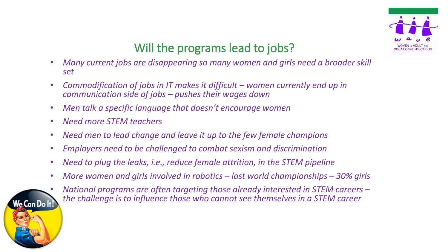

#### Will the programs lead to jobs?

- *Many current jobs are disappearing so many women and girls need a broader skill set*
- *Commodification of jobs in IT makes it difficult – women currently end up in communication side of jobs – pushes their wages down*
- *Men talk a specific language that doesn't encourage women*
- *Need more STEM teachers*
- *Need men to lead change and leave it up to the few female champions*
- *Employers need to be challenged to combat sexism and discrimination*
- *Need to plug the leaks, i.e., reduce female attrition, in the STEM pipeline*
- *More women and girls involved in robotics – last world championships – 30% girls*



• *National programs are often targeting those already interested in STEM careers – the challenge is to influence those who cannot see themselves in a STEM career*